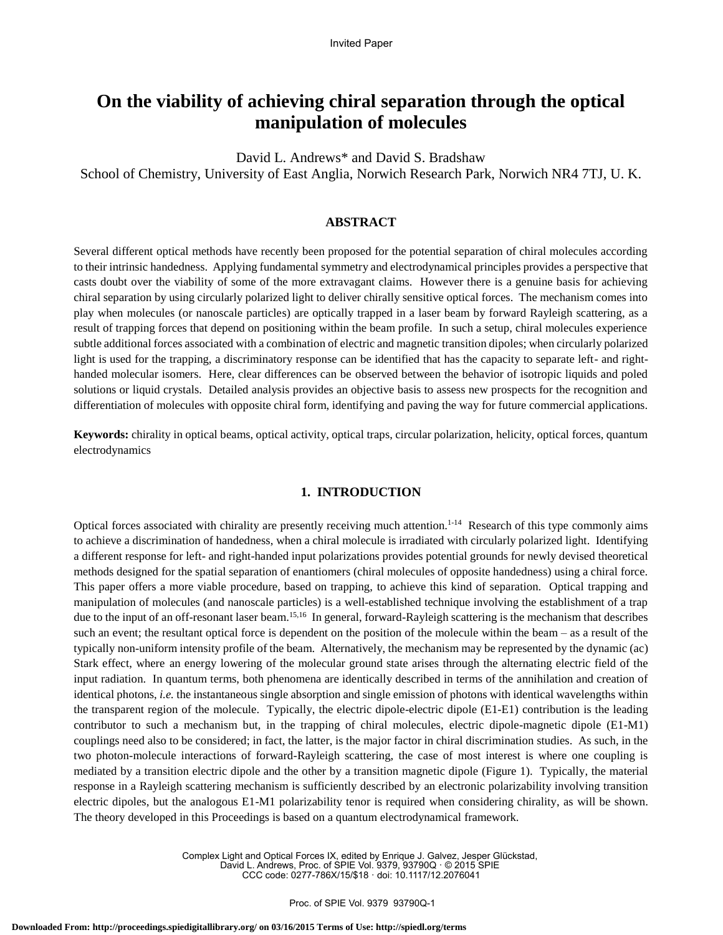# **On the viability of achieving chiral separation through the optical manipulation of molecules**

David L. Andrews\* and David S. Bradshaw School of Chemistry, University of East Anglia, Norwich Research Park, Norwich NR4 7TJ, U. K.

## **ABSTRACT**

Several different optical methods have recently been proposed for the potential separation of chiral molecules according to their intrinsic handedness. Applying fundamental symmetry and electrodynamical principles provides a perspective that casts doubt over the viability of some of the more extravagant claims. However there is a genuine basis for achieving chiral separation by using circularly polarized light to deliver chirally sensitive optical forces. The mechanism comes into play when molecules (or nanoscale particles) are optically trapped in a laser beam by forward Rayleigh scattering, as a result of trapping forces that depend on positioning within the beam profile. In such a setup, chiral molecules experience subtle additional forces associated with a combination of electric and magnetic transition dipoles; when circularly polarized light is used for the trapping, a discriminatory response can be identified that has the capacity to separate left- and righthanded molecular isomers. Here, clear differences can be observed between the behavior of isotropic liquids and poled solutions or liquid crystals. Detailed analysis provides an objective basis to assess new prospects for the recognition and differentiation of molecules with opposite chiral form, identifying and paving the way for future commercial applications.

**Keywords:** chirality in optical beams, optical activity, optical traps, circular polarization, helicity, optical forces, quantum electrodynamics

#### **1. INTRODUCTION**

Optical forces associated with chirality are presently receiving much attention.<sup>1-14</sup> Research of this type commonly aims to achieve a discrimination of handedness, when a chiral molecule is irradiated with circularly polarized light. Identifying a different response for left- and right-handed input polarizations provides potential grounds for newly devised theoretical methods designed for the spatial separation of enantiomers (chiral molecules of opposite handedness) using a chiral force. This paper offers a more viable procedure, based on trapping, to achieve this kind of separation. Optical trapping and manipulation of molecules (and nanoscale particles) is a well-established technique involving the establishment of a trap due to the input of an off-resonant laser beam.<sup>15,16</sup> In general, forward-Rayleigh scattering is the mechanism that describes such an event; the resultant optical force is dependent on the position of the molecule within the beam – as a result of the typically non-uniform intensity profile of the beam. Alternatively, the mechanism may be represented by the dynamic (ac) Stark effect, where an energy lowering of the molecular ground state arises through the alternating electric field of the input radiation. In quantum terms, both phenomena are identically described in terms of the annihilation and creation of identical photons, *i.e.* the instantaneous single absorption and single emission of photons with identical wavelengths within the transparent region of the molecule. Typically, the electric dipole-electric dipole (E1-E1) contribution is the leading contributor to such a mechanism but, in the trapping of chiral molecules, electric dipole-magnetic dipole (E1-M1) couplings need also to be considered; in fact, the latter, is the major factor in chiral discrimination studies. As such, in the two photon-molecule interactions of forward-Rayleigh scattering, the case of most interest is where one coupling is mediated by a transition electric dipole and the other by a transition magnetic dipole (Figure 1). Typically, the material response in a Rayleigh scattering mechanism is sufficiently described by an electronic polarizability involving transition electric dipoles, but the analogous E1-M1 polarizability tenor is required when considering chirality, as will be shown. The theory developed in this Proceedings is based on a quantum electrodynamical framework.

> Complex Light and Optical Forces IX, edited by Enrique J. Galvez, Jesper Glückstad, David L. Andrews, Proc. of SPIE Vol. 9379, 93790Q · © 2015 SPIE CCC code: 0277-786X/15/\$18 · doi: 10.1117/12.2076041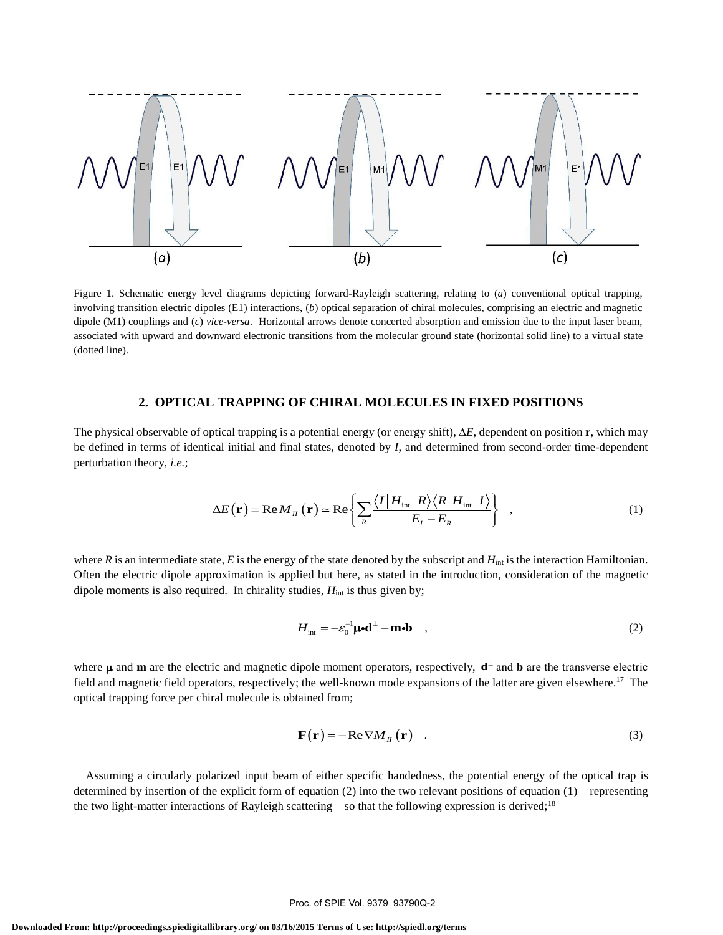

Figure 1. Schematic energy level diagrams depicting forward-Rayleigh scattering, relating to (*a*) conventional optical trapping, involving transition electric dipoles (E1) interactions, (*b*) optical separation of chiral molecules, comprising an electric and magnetic dipole (M1) couplings and (*c*) *vice*-*versa*. Horizontal arrows denote concerted absorption and emission due to the input laser beam, associated with upward and downward electronic transitions from the molecular ground state (horizontal solid line) to a virtual state (dotted line).

# **2. OPTICAL TRAPPING OF CHIRAL MOLECULES IN FIXED POSITIONS**

The physical observable of optical trapping is a potential energy (or energy shift),  $\Delta E$ , dependent on position **r**, which may be defined in terms of identical initial and final states, denoted by *I*, and determined from second-order time-dependent perturbation theory, *i.e.*;

$$
\Delta E(\mathbf{r}) = \text{Re}\,M_{II}(\mathbf{r}) \simeq \text{Re}\left\{\sum_{R} \frac{\langle I | H_{int} | R \rangle \langle R | H_{int} | I \rangle}{E_{I} - E_{R}}\right\} , \tag{1}
$$

where *R* is an intermediate state, *E* is the energy of the state denoted by the subscript and  $H_{int}$  is the interaction Hamiltonian. Often the electric dipole approximation is applied but here, as stated in the introduction, consideration of the magnetic dipole moments is also required. In chirality studies,  $H_{int}$  is thus given by;

$$
H_{\text{int}} = -\varepsilon_0^{-1} \mathbf{\mu} \cdot \mathbf{d}^{\perp} - \mathbf{m} \cdot \mathbf{b} \quad , \tag{2}
$$

where  $\mu$  and **m** are the electric and magnetic dipole moment operators, respectively,  $\mathbf{d}^{\perp}$  and **b** are the transverse electric field and magnetic field operators, respectively; the well-known mode expansions of the latter are given elsewhere.<sup>17</sup> The optical trapping force per chiral molecule is obtained from;

$$
\mathbf{F}(\mathbf{r}) = -\operatorname{Re} \nabla M_{\mu}(\mathbf{r}) \quad . \tag{3}
$$

Assuming a circularly polarized input beam of either specific handedness, the potential energy of the optical trap is determined by insertion of the explicit form of equation (2) into the two relevant positions of equation (1) – representing the two light-matter interactions of Rayleigh scattering – so that the following expression is derived;<sup>18</sup>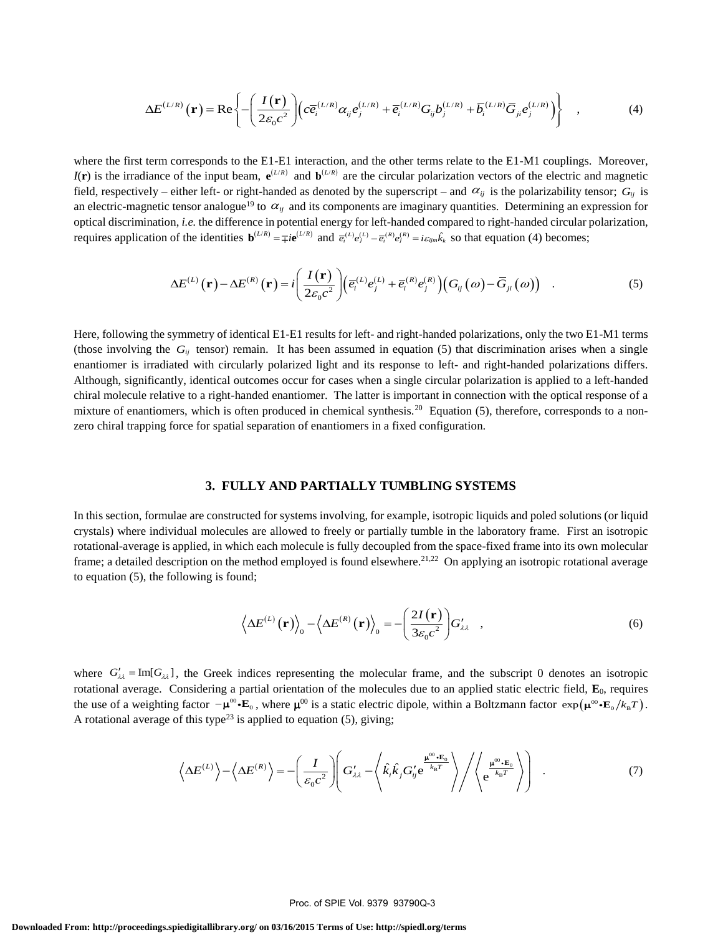$$
\Delta E^{(L/R)}(\mathbf{r}) = \text{Re}\left\{-\left(\frac{I(\mathbf{r})}{2\varepsilon_0 c^2}\right)\left(c\overline{e}_i^{(L/R)}\alpha_{ij}e_j^{(L/R)} + \overline{e}_i^{(L/R)}G_{ij}b_j^{(L/R)} + \overline{b}_i^{(L/R)}\overline{G}_{ji}e_j^{(L/R)}\right)\right\} \quad ,\tag{4}
$$

where the first term corresponds to the E1-E1 interaction, and the other terms relate to the E1-M1 couplings. Moreover,  $I(r)$  is the irradiance of the input beam,  $e^{(L/R)}$  and  $b^{(L/R)}$  are the circular polarization vectors of the electric and magnetic field, respectively – either left- or right-handed as denoted by the superscript – and  $\alpha_{ij}$  is the polarizability tensor;  $G_{ij}$  is an electric-magnetic tensor analogue<sup>19</sup> to  $\alpha_{ij}$  and its components are imaginary quantities. Determining an expression for optical discrimination, *i.e.* the difference in potential energy for left-handed compared to right-handed circular polarization, requires application of the identities  $\mathbf{b}^{(L/R)} = \mp i \mathbf{e}^{(L/R)}$  and  $\overline{e_i}^{(L)} e_j^{(L)} - \overline{e_i}^{(R)} e_j^{(R)} = i \varepsilon_{ijm} \hat{k}_k$  so that equation (4) becomes;<br>  $\Delta E^{(L)}(\mathbf{r}) - \Delta E^{(R)}(\mathbf{r}) = i \left( \frac{I(\mathbf{r})}{\overline{e}_i} \right) \left( \overline{e}_i$ 

$$
\Delta E^{(L)}(\mathbf{r}) - \Delta E^{(R)}(\mathbf{r}) = i \left( \frac{I(\mathbf{r})}{2\varepsilon_0 c^2} \right) \left( \overline{e}_i^{(L)} e_j^{(L)} + \overline{e}_i^{(R)} e_j^{(R)} \right) \left( G_{ij}(\omega) - \overline{G}_{ji}(\omega) \right) . \tag{5}
$$

Here, following the symmetry of identical E1-E1 results for left- and right-handed polarizations, only the two E1-M1 terms (those involving the  $G_{ij}$  tensor) remain. It has been assumed in equation (5) that discrimination arises when a single enantiomer is irradiated with circularly polarized light and its response to left- and right-handed polarizations differs. Although, significantly, identical outcomes occur for cases when a single circular polarization is applied to a left-handed chiral molecule relative to a right-handed enantiomer. The latter is important in connection with the optical response of a mixture of enantiomers, which is often produced in chemical synthesis.<sup>20</sup> Equation (5), therefore, corresponds to a nonzero chiral trapping force for spatial separation of enantiomers in a fixed configuration.

#### **3. FULLY AND PARTIALLY TUMBLING SYSTEMS**

In this section, formulae are constructed for systems involving, for example, isotropic liquids and poled solutions (or liquid crystals) where individual molecules are allowed to freely or partially tumble in the laboratory frame. First an isotropic rotational-average is applied, in which each molecule is fully decoupled from the space-fixed frame into its own molecular frame; a detailed description on the method employed is found elsewhere.<sup>21,22</sup> On applying an isotropic rotational average to equation (5), the following is found;

$$
\left\langle \Delta E^{(L)}(\mathbf{r}) \right\rangle_{0} - \left\langle \Delta E^{(R)}(\mathbf{r}) \right\rangle_{0} = -\left(\frac{2I(\mathbf{r})}{3\varepsilon_{0}c^{2}}\right) G'_{\lambda\lambda} \quad , \tag{6}
$$

where  $G'_{\lambda\lambda}$  = Im[ $G_{\lambda\lambda}$ ], the Greek indices representing the molecular frame, and the subscript 0 denotes an isotropic rotational average. Considering a partial orientation of the molecules due to an applied static electric field,  $\mathbf{E}_0$ , requires the use of a weighting factor  $-\mu^{\omega} \cdot \mathbf{E}_0$ , where  $\mu^{\omega}$  is a static electric dipole, within a Boltzmann factor  $\exp(\mu^{\omega} \cdot \mathbf{E}_0 / k_{\text{B}} T)$ . A rotational average of this type<sup>23</sup> is applied to equation (5), giving;

Thus type is applied to equation (3), giving,  

$$
\langle \Delta E^{(L)} \rangle - \langle \Delta E^{(R)} \rangle = -\left(\frac{I}{\varepsilon_0 c^2}\right) \left(G'_{\lambda \lambda} - \langle \hat{k}_i \hat{k}_j G'_j e^{\frac{\mu^{00} \cdot \mathbf{E}_0}{k_B T}} \rangle / \langle e^{\frac{\mu^{00} \cdot \mathbf{E}_0}{k_B T}} \rangle \right) .
$$
(7)

#### Proc. of SPIE Vol. 9379 93790Q-3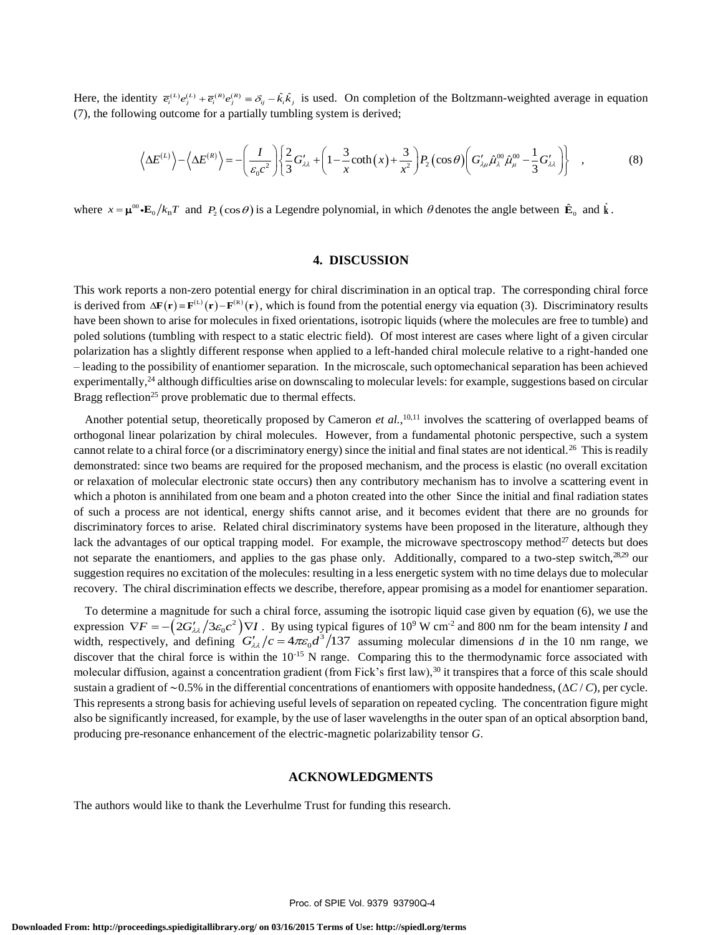Here, the identity  $\bar{e}_i^{(L)}e_j^{(L)} + \bar{e}_i^{(R)}e_j^{(R)} \equiv \delta_{ij} - \hat{k}_i\hat{k}_j$  is used. On completion of the Boltzmann-weighted average in equation (7), the following outcome for a partially tumbling system is derived;

But 
$$
\langle e_i^{(1)} e_j^{(1)} + e_i^{(1)} e_j^{(2)} \rangle = \partial_{ij} - k_i k_j
$$
 is used. On complement of the Boltzmann-weighted average in equation

\nUsing outcome for a partially tumbling system is derived;

\n
$$
\langle \Delta E^{(L)} \rangle - \langle \Delta E^{(R)} \rangle = -\left(\frac{I}{\varepsilon_0 c^2}\right) \left\{ \frac{2}{3} G'_{\lambda \lambda} + \left(1 - \frac{3}{x} \coth(x) + \frac{3}{x^2}\right) P_2 \left(\cos \theta\right) \left(G'_{\lambda \mu} \hat{\mu}_{\lambda}^{(0)} \hat{\mu}_{\mu}^{(0)} - \frac{1}{3} G'_{\lambda \lambda}\right) \right\} ,
$$
\n(8)

where  $x = \mu^{\infty} \cdot \mathbf{E}_0 / k_B T$  and  $P_2(\cos \theta)$  is a Legendre polynomial, in which  $\theta$  denotes the angle between  $\hat{\mathbf{E}}_0$  and  $\hat{\mathbf{k}}$ .

# **4. DISCUSSION**

This work reports a non-zero potential energy for chiral discrimination in an optical trap. The corresponding chiral force I his work reports a non-zero potential energy for chiral discrimination in an optical trap. The corresponding chiral force<br>is derived from  $\Delta \mathbf{F}(\mathbf{r}) = \mathbf{F}^{(L)}(\mathbf{r}) - \mathbf{F}^{(R)}(\mathbf{r})$ , which is found from the poten have been shown to arise for molecules in fixed orientations, isotropic liquids (where the molecules are free to tumble) and poled solutions (tumbling with respect to a static electric field). Of most interest are cases where light of a given circular polarization has a slightly different response when applied to a left-handed chiral molecule relative to a right-handed one – leading to the possibility of enantiomer separation. In the microscale, such optomechanical separation has been achieved experimentally,<sup>24</sup> although difficulties arise on downscaling to molecular levels: for example, suggestions based on circular Bragg reflection<sup>25</sup> prove problematic due to thermal effects.

Another potential setup, theoretically proposed by Cameron *et al.*,<sup>10,11</sup> involves the scattering of overlapped beams of orthogonal linear polarization by chiral molecules. However, from a fundamental photonic perspective, such a system cannot relate to a chiral force (or a discriminatory energy) since the initial and final states are not identical.<sup>26</sup> This is readily demonstrated: since two beams are required for the proposed mechanism, and the process is elastic (no overall excitation or relaxation of molecular electronic state occurs) then any contributory mechanism has to involve a scattering event in which a photon is annihilated from one beam and a photon created into the other Since the initial and final radiation states of such a process are not identical, energy shifts cannot arise, and it becomes evident that there are no grounds for discriminatory forces to arise. Related chiral discriminatory systems have been proposed in the literature, although they lack the advantages of our optical trapping model. For example, the microwave spectroscopy method $27$  detects but does not separate the enantiomers, and applies to the gas phase only. Additionally, compared to a two-step switch, $28.29$  our suggestion requires no excitation of the molecules: resulting in a less energetic system with no time delays due to molecular recovery. The chiral discrimination effects we describe, therefore, appear promising as a model for enantiomer separation.

To determine a magnitude for such a chiral force, assuming the isotropic liquid case given by equation (6), we use the To determine a magnitude for such a chiral force, assuming the isotropic liquid case given by equation (6), we use the expression  $\nabla F = -\left(2G'_{\lambda\lambda}/3\varepsilon_0 c^2\right)\nabla I$ . By using typical figures of 10<sup>9</sup> W cm<sup>-2</sup> and 800 nm width, respectively, and defining  $G'_{\lambda\lambda}/c = 4\pi\varepsilon_0 d^3/137$  assuming molecular dimensions *d* in the 10 nm range, we discover that the chiral force is within the 10<sup>-15</sup> N range. Comparing this to the thermodynamic force associated with molecular diffusion, against a concentration gradient (from Fick's first law),<sup>30</sup> it transpires that a force of this scale should sustain a gradient of ∼0.5% in the differential concentrations of enantiomers with opposite handedness, (*C* / *C*), per cycle. This represents a strong basis for achieving useful levels of separation on repeated cycling. The concentration figure might also be significantly increased, for example, by the use of laser wavelengths in the outer span of an optical absorption band, producing pre-resonance enhancement of the electric-magnetic polarizability tensor *G*.

### **ACKNOWLEDGMENTS**

The authors would like to thank the Leverhulme Trust for funding this research.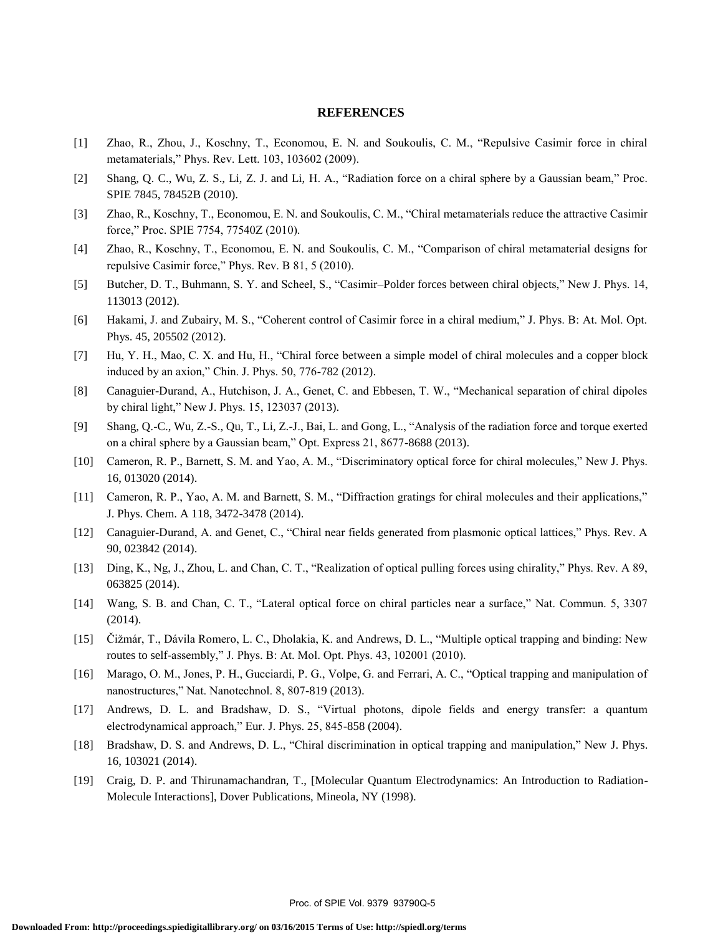#### **REFERENCES**

- [1] Zhao, R., Zhou, J., Koschny, T., Economou, E. N. and Soukoulis, C. M., "Repulsive Casimir force in chiral metamaterials," Phys. Rev. Lett. 103, 103602 (2009).
- [2] Shang, Q. C., Wu, Z. S., Li, Z. J. and Li, H. A., "Radiation force on a chiral sphere by a Gaussian beam," Proc. SPIE 7845, 78452B (2010).
- [3] Zhao, R., Koschny, T., Economou, E. N. and Soukoulis, C. M., "Chiral metamaterials reduce the attractive Casimir force," Proc. SPIE 7754, 77540Z (2010).
- [4] Zhao, R., Koschny, T., Economou, E. N. and Soukoulis, C. M., "Comparison of chiral metamaterial designs for repulsive Casimir force," Phys. Rev. B 81, 5 (2010).
- [5] Butcher, D. T., Buhmann, S. Y. and Scheel, S., "Casimir–Polder forces between chiral objects," New J. Phys. 14, 113013 (2012).
- [6] Hakami, J. and Zubairy, M. S., "Coherent control of Casimir force in a chiral medium," J. Phys. B: At. Mol. Opt. Phys. 45, 205502 (2012).
- [7] Hu, Y. H., Mao, C. X. and Hu, H., "Chiral force between a simple model of chiral molecules and a copper block induced by an axion," Chin. J. Phys. 50, 776-782 (2012).
- [8] Canaguier-Durand, A., Hutchison, J. A., Genet, C. and Ebbesen, T. W., "Mechanical separation of chiral dipoles by chiral light," New J. Phys. 15, 123037 (2013).
- [9] Shang, Q.-C., Wu, Z.-S., Qu, T., Li, Z.-J., Bai, L. and Gong, L., "Analysis of the radiation force and torque exerted on a chiral sphere by a Gaussian beam," Opt. Express 21, 8677-8688 (2013).
- [10] Cameron, R. P., Barnett, S. M. and Yao, A. M., "Discriminatory optical force for chiral molecules," New J. Phys. 16, 013020 (2014).
- [11] Cameron, R. P., Yao, A. M. and Barnett, S. M., "Diffraction gratings for chiral molecules and their applications," J. Phys. Chem. A 118, 3472-3478 (2014).
- [12] Canaguier-Durand, A. and Genet, C., "Chiral near fields generated from plasmonic optical lattices," Phys. Rev. A 90, 023842 (2014).
- [13] Ding, K., Ng, J., Zhou, L. and Chan, C. T., "Realization of optical pulling forces using chirality," Phys. Rev. A 89, 063825 (2014).
- [14] Wang, S. B. and Chan, C. T., "Lateral optical force on chiral particles near a surface," Nat. Commun. 5, 3307 (2014).
- [15] Čižmár, T., Dávila Romero, L. C., Dholakia, K. and Andrews, D. L., "Multiple optical trapping and binding: New routes to self-assembly," J. Phys. B: At. Mol. Opt. Phys. 43, 102001 (2010).
- [16] Marago, O. M., Jones, P. H., Gucciardi, P. G., Volpe, G. and Ferrari, A. C., "Optical trapping and manipulation of nanostructures," Nat. Nanotechnol. 8, 807-819 (2013).
- [17] Andrews, D. L. and Bradshaw, D. S., "Virtual photons, dipole fields and energy transfer: a quantum electrodynamical approach," Eur. J. Phys. 25, 845-858 (2004).
- [18] Bradshaw, D. S. and Andrews, D. L., "Chiral discrimination in optical trapping and manipulation," New J. Phys. 16, 103021 (2014).
- [19] Craig, D. P. and Thirunamachandran, T., [Molecular Quantum Electrodynamics: An Introduction to Radiation-Molecule Interactions], Dover Publications, Mineola, NY (1998).